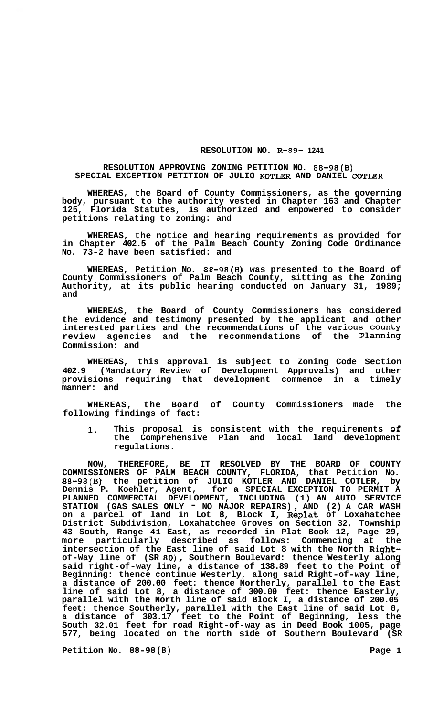## **RESOLUTION NO. R-89- 1241**

## **RESOLUTION APPROVING ZONING PETITION NO. 88-98(B) SPECIAL EXCEPTION PETITION OF JULIO KOTLER AND DANIEL COTLER**

**WHEREAS, the Board of County Commissioners, as the governing body, pursuant to the authority vested in Chapter 163 and Chapter 125, Florida Statutes, is authorized and empowered to consider petitions relating to zoning: and** 

**WHEREAS, the notice and hearing requirements as provided for in Chapter 402.5 of the Palm Beach County Zoning Code Ordinance No. 73-2 have been satisfied: and** 

**WHEREAS, Petition No. 88-98(B) was presented to the Board of County Commissioners of Palm Beach County, sitting as the Zoning Authority, at its public hearing conducted on January 31, 1989; and** 

**WHEREAS, the Board of County Commissioners has considered the evidence and testimony presented by the applicant and other interested parties and the recommendations of the Various county review agencies and the recommendations of the Planning Commission: and** 

**WHEREAS, this approval is subject to Zoning Code Section 402.9 (Mandatory Review of Development Approvals) and other provisions requiring that development commence in a timely manner: and** 

**WHEREAS, the Board of County Commissioners made the following findings of fact:** 

**1. This proposal is consistent with the requirements of the Comprehensive Plan and local land development regulations.** 

**NOW, THEREFORE, BE IT RESOLVED BY THE BOARD OF COUNTY COMMISSIONERS OF PALM BEACH COUNTY, FLORIDA, that Petition No. 88-98(B) the petition of JULIO KOTLER AND DANIEL COTLER, by Dennis P. Koehler, Agent, for a SPECIAL EXCEPTION TO PERMIT A PLANNED COMMERCIAL DEVELOPMENT, INCLUDING (1) AN AUTO SERVICE STATION (GAS SALES ONLY** - **NO MAJOR REPAIRS)** , **AND (2) A CAR WASH on a parcel of land in Lot 8, Block I, Replat of Loxahatchee District Subdivision, Loxahatchee Groves on Section 32, Township 43 South, Range 41 East, as recorded in Plat Book 12, Page 29, more particularly described as follows: Commencing at the intersection of the East line of said Lot 8 with the North Rightof-Way line of (SR 80), Southern Boulevard: thence Westerly along said right-of-way line, a distance of 138.89 feet to the Point of Beginning: thence continue Westerly, along said Right-of-way line, a distance of 200.00 feet: thence Northerly, parallel to the East line of said Lot 8, a distance of 300.00 feet: thence Easterly, parallel with the North line of said Block I, a distance of 200.05 feet: thence Southerly, parallel with the East line of said Lot 8, a distance of 303.17 feet to the Point of Beginning, less the South 32.01 feet for road Right-of-way as in Deed Book 1005, page 577, being located on the north side of Southern Boulevard (SR** 

**Petition No. 88-98 (B)** Page 1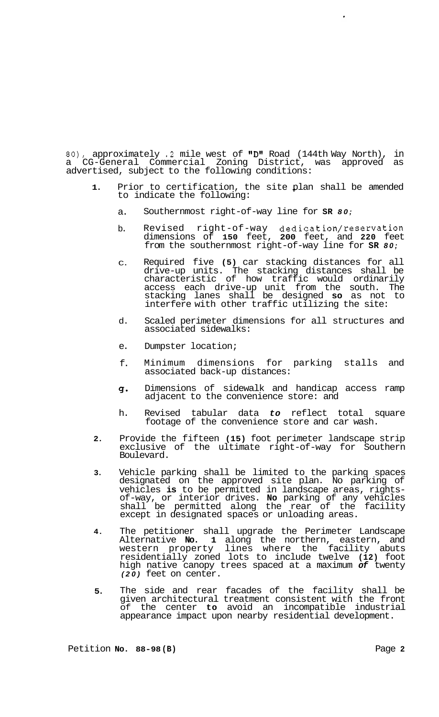80), approximately .2 mile west of "D" Road (144th Way North), in a CG-General Commercial Zoning District, was approved as advertised, subject to the following conditions:

- **1.**  Prior to certification, the site plan shall be amended<br>to indicate the following: to indicate the following:
	- a. Southernmost right-of-way line for **SR** *80;*
	- b. Revised right-of-way dedication/reservation dimensions of **150** feet, **200** feet, and **220** feet from the southernmost right-of-way line for **SR** *80;*
	- C. Required five **(5)** car stacking distances for all drive-up units. The stacking distances shall be characteristic of how traffic would ordinarily access each drive-up unit from the south. The stacking lanes shall be designed **so** as not to interfere with other traffic utilizing the site:
	- d. Scaled perimeter dimensions for all structures and associated sidewalks:
	- e. Dumpster location;
	- f. Minimum dimensions for parking stalls and associated back-up distances:
	- *g-*Dimensions of sidewalk and handicap access ramp adjacent to the convenience store: and
	- h. Revised tabular data *to* reflect total square footage of the convenience store and car wash.
- **2.**  Provide the fifteen **(15)** foot perimeter landscape strip exclusive of the ultimate right-of-way for Southern Boulevard.
- **3.**  Vehicle parking shall be limited to the parking spaces designated on the approved site plan. No parking of vehicles **is** to be permitted in landscape areas, rightsof-way, or interior drives. **No** parking of any vehicles shall be permitted along the rear of the facility except in designated spaces or unloading areas.
- **4.**  The petitioner shall upgrade the Perimeter Landscape Alternative **No. 1** along the northern, eastern, and western property lines where the facility abuts residentially zoned lots to include twelve **(12)** foot high native canopy trees spaced at a maximum *of* twenty *(20)* feet on center.
- **5.**  The side and rear facades of the facility shall be given architectural treatment consistent with the front of the center **to** avoid an incompatible industrial appearance impact upon nearby residential development.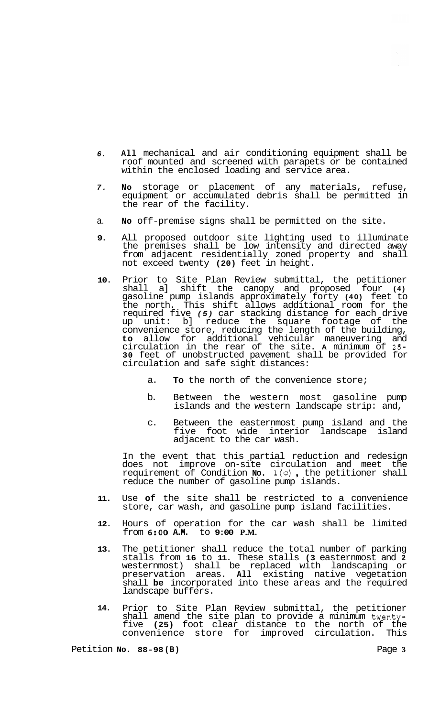- *6.*  **All** mechanical and air conditioning equipment shall be roof mounted and screened with parapets or be contained within the enclosed loading and service area.
- *7.*  **NO** storage or placement of any materials, refuse, equipment or accumulated debris shall be permitted in the rear of the facility.
- a. **No** off-premise signs shall be permitted on the site.
- **9.**  All proposed outdoor site lighting used to illuminate the premises shall be low intensity and directed away from adjacent residentially zoned property and shall not exceed twenty **(20)** feet in height.
- **10.**  Prior to Site Plan Review submittal, the petitioner shall a] shift the canopy and proposed four **(4)**  gasoline pump islands approximately forty **(40)** feet to the north. This shift allows additional room for the required five *(5)* car stacking distance for each drive up unit: b] reduce the square footage of the convenience store, reducing the length of the building, **to** allow for additional vehicular maneuvering and circulation in the rear of the site. **A** minimum of *25-*  **30** feet of unobstructed pavement shall be provided for circulation and safe sight distances:
	- a. **To** the north of the convenience store;
	- b. Between the western most gasoline pump islands and the western landscape strip: and,
	- c. Between the easternmost pump island and the five foot wide interior landscape island adjacent to the car wash.

In the event that this partial reduction and redesign does not improve on-site circulation and meet the requirement of Condition **No.** l(c) , the petitioner shall reduce the number of gasoline pump islands.

- **11.**  Use **of** the site shall be restricted to a convenience store, car wash, and gasoline pump island facilities.
- **12.**  Hours of operation for the car wash shall be limited from **6:OO A.M.** to **9:00 P.M.**
- **13.**  The petitioner shall reduce the total number of parking stalls from **16** to **11.** These stalls **(3** easternmost and **2**  westernmost) shall be replaced with landscaping or preservation areas. **All** existing native vegetation shall **be** incorporated into these areas and the required landscape buffers.
- **14.**  Prior to Site Plan Review submittal, the petitioner shall amend the site plan to provide a minimum twentyfive **(25)** foot clear distance to the north of the convenience store for improved circulation. This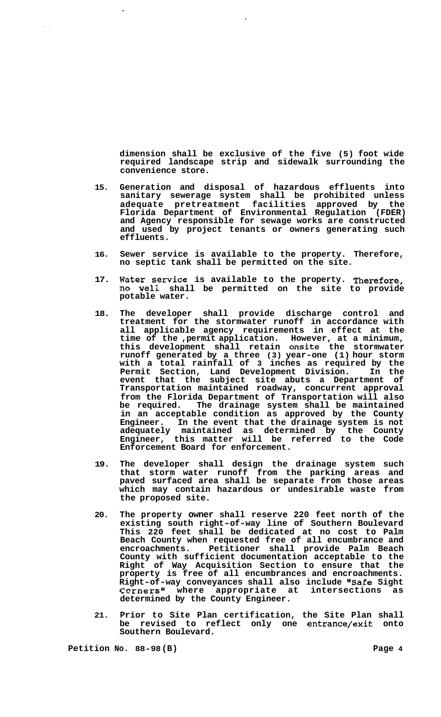**dimension shall be exclusive of the five (5) foot wide required landscape strip and sidewalk surrounding the convenience store.** 

- **15. Generation and disposal of hazardous effluents into sanitary sewerage system shall be prohibited unless adequate pretreatment facilities approved by the Florida Department of Environmental Regulation (FDER) and Agency responsible for sewage works are constructed and used by project tenants or owners generating such effluents.**
- **16. Sewer service is available to the property. Therefore, no septic tank shall be permitted on the site.**
- **17. Water Service is available to the property. Therefore, no well shall be permitted on the site to provide potable water.**
- **18. The developer shall provide discharge control and treatment for the stormwater runoff in accordance with all applicable agency requirements in effect at the time of the ,permit application. However, at a minimum, this development shall retain onsite the stormwater runoff generated by a three (3) year-one (1) hour storm with a total rainfall of 3 inches as required by the Permit Section, Land Development Division. In the event that the subject site abuts a Department of Transportation maintained roadway, concurrent approval from the Florida Department of Transportation will also be required. The drainage system shall be maintained in an acceptable condition as approved by the County Engineer. In the event that the drainage system is not adequately maintained as determined by the County Engineer, this matter will be referred to the Code Enforcement Board for enforcement.**
- **19. The developer shall design the drainage system such that storm water runoff from the parking areas and paved surfaced area shall be separate from those areas which may contain hazardous or undesirable waste from the proposed site.**
- **20. The property owner shall reserve 220 feet north of the existing south right-of-way line of Southern Boulevard This 220 feet shall be dedicated at no cost to Palm Beach County when requested free of all encumbrance and encroachments. Petitioner shall provide Palm Beach County with sufficient documentation acceptable to the Right of Way Acquisition Section to ensure that the property is free of all encumbrances and encroachments. Right-of-way conveyances shall also include "Safe Sight**  Corners" where appropriate at intersections as **determined by the County Engineer.**
- **21. Prior to Site Plan certification, the Site Plan shall be revised to reflect only one entrance/exit onto Southern Boulevard.**

**Petition No. 88-98 (B) Page 4** 

 $\hat{\mathcal{A}}$  ,  $\hat{\mathcal{A}}$